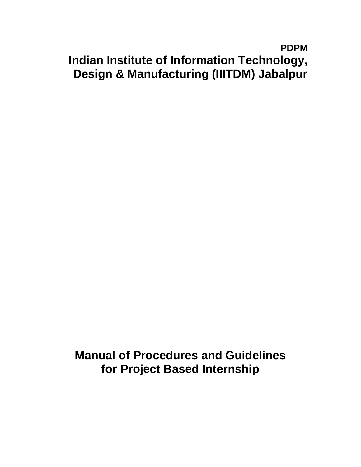# **PDPM Indian Institute of Information Technology, Design & Manufacturing (IIITDM) Jabalpur**

**Manual of Procedures and Guidelines for Project Based Internship**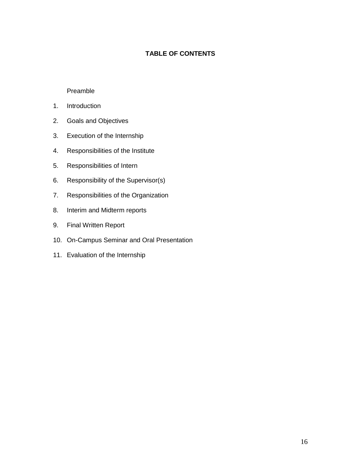## **TABLE OF CONTENTS**

#### Preamble

- 1. Introduction
- 2. Goals and Objectives
- 3. Execution of the Internship
- 4. Responsibilities of the Institute
- 5. Responsibilities of Intern
- 6. Responsibility of the Supervisor(s)
- 7. Responsibilities of the Organization
- 8. Interim and Midterm reports
- 9. Final Written Report
- 10. On-Campus Seminar and Oral Presentation
- 11. Evaluation of the Internship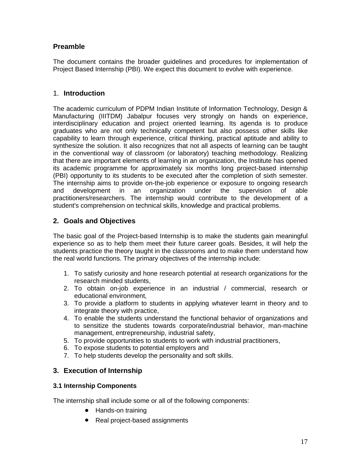# **Preamble**

The document contains the broader guidelines and procedures for implementation of Project Based Internship (PBI). We expect this document to evolve with experience.

# 1. **Introduction**

The academic curriculum of PDPM Indian Institute of Information Technology, Design & Manufacturing (IIITDM) Jabalpur focuses very strongly on hands on experience, interdisciplinary education and project oriented learning. Its agenda is to produce graduates who are not only technically competent but also possess other skills like capability to learn through experience, critical thinking, practical aptitude and ability to synthesize the solution. It also recognizes that not all aspects of learning can be taught in the conventional way of classroom (or laboratory) teaching methodology. Realizing that there are important elements of learning in an organization, the Institute has opened its academic programme for approximately six months long project-based internship (PBI) opportunity to its students to be executed after the completion of sixth semester. The internship aims to provide on-the-job experience or exposure to ongoing research and development in an organization under the supervision of able practitioners/researchers. The internship would contribute to the development of a student's comprehension on technical skills, knowledge and practical problems.

# **2. Goals and Objectives**

The basic goal of the Project-based Internship is to make the students gain meaningful experience so as to help them meet their future career goals. Besides, it will help the students practice the theory taught in the classrooms and to make them understand how the real world functions. The primary objectives of the internship include:

- 1. To satisfy curiosity and hone research potential at research organizations for the research minded students,
- 2. To obtain on-job experience in an industrial / commercial, research or educational environment,
- 3. To provide a platform to students in applying whatever learnt in theory and to integrate theory with practice,
- 4. To enable the students understand the functional behavior of organizations and to sensitize the students towards corporate/industrial behavior, man-machine management, entrepreneurship, industrial safety,
- 5. To provide opportunities to students to work with industrial practitioners,
- 6. To expose students to potential employers and
- 7. To help students develop the personality and soft skills.

## **3. Execution of Internship**

## **3.1 Internship Components**

The internship shall include some or all of the following components:

- Hands-on training
- Real project-based assignments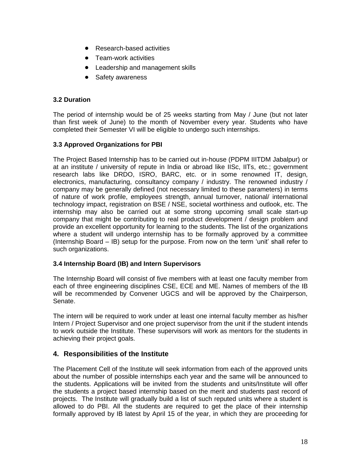- $\bullet$ Research-based activities
- $\bullet$ Team-work activities
- Leadership and management skills
- Safety awareness  $\bullet$

#### **3.2 Duration**

The period of internship would be of 25 weeks starting from May / June (but not later than first week of June) to the month of November every year. Students who have completed their Semester VI will be eligible to undergo such internships.

#### **3.3 Approved Organizations for PBI**

The Project Based Internship has to be carried out in-house (PDPM IIITDM Jabalpur) or at an institute / university of repute in India or abroad like IISc, IITs, etc.; government research labs like DRDO, ISRO, BARC, etc. or in some renowned IT, design, electronics, manufacturing, consultancy company / industry. The renowned industry / company may be generally defined (not necessary limited to these parameters) in terms of nature of work profile, employees strength, annual turnover, national/ international technology impact, registration on BSE / NSE, societal worthiness and outlook, etc. The internship may also be carried out at some strong upcoming small scale start-up company that might be contributing to real product development / design problem and provide an excellent opportunity for learning to the students. The list of the organizations where a student will undergo internship has to be formally approved by a committee (Internship Board – IB) setup for the purpose. From now on the term "unit" shall refer to such organizations.

#### **3.4 Internship Board (IB) and Intern Supervisors**

The Internship Board will consist of five members with at least one faculty member from each of three engineering disciplines CSE, ECE and ME. Names of members of the IB will be recommended by Convener UGCS and will be approved by the Chairperson, Senate.

The intern will be required to work under at least one internal faculty member as his/her Intern / Project Supervisor and one project supervisor from the unit if the student intends to work outside the Institute. These supervisors will work as mentors for the students in achieving their project goals.

## **4. Responsibilities of the Institute**

The Placement Cell of the Institute will seek information from each of the approved units about the number of possible internships each year and the same will be announced to the students. Applications will be invited from the students and units/Institute will offer the students a project based internship based on the merit and students past record of projects. The Institute will gradually build a list of such reputed units where a student is allowed to do PBI. All the students are required to get the place of their internship formally approved by IB latest by April 15 of the year, in which they are proceeding for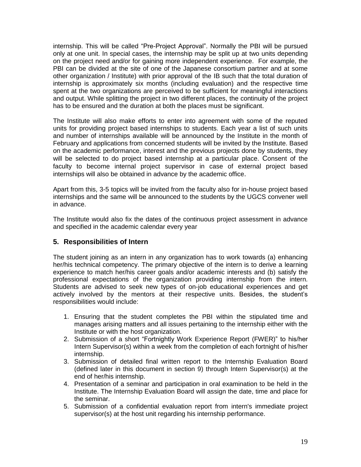internship. This will be called "Pre-Project Approval". Normally the PBI will be pursued only at one unit. In special cases, the internship may be split up at two units depending on the project need and/or for gaining more independent experience. For example, the PBI can be divided at the site of one of the Japanese consortium partner and at some other organization / Institute) with prior approval of the IB such that the total duration of internship is approximately six months (including evaluation) and the respective time spent at the two organizations are perceived to be sufficient for meaningful interactions and output. While splitting the project in two different places, the continuity of the project has to be ensured and the duration at both the places must be significant.

The Institute will also make efforts to enter into agreement with some of the reputed units for providing project based internships to students. Each year a list of such units and number of internships available will be announced by the Institute in the month of February and applications from concerned students will be invited by the Institute. Based on the academic performance, interest and the previous projects done by students, they will be selected to do project based internship at a particular place. Consent of the faculty to become internal project supervisor in case of external project based internships will also be obtained in advance by the academic office.

Apart from this, 3-5 topics will be invited from the faculty also for in-house project based internships and the same will be announced to the students by the UGCS convener well in advance.

The Institute would also fix the dates of the continuous project assessment in advance and specified in the academic calendar every year

## **5. Responsibilities of Intern**

The student joining as an intern in any organization has to work towards (a) enhancing her/his technical competency. The primary objective of the intern is to derive a learning experience to match her/his career goals and/or academic interests and (b) satisfy the professional expectations of the organization providing internship from the intern. Students are advised to seek new types of on-job educational experiences and get actively involved by the mentors at their respective units. Besides, the student"s responsibilities would include:

- 1. Ensuring that the student completes the PBI within the stipulated time and manages arising matters and all issues pertaining to the internship either with the Institute or with the host organization.
- 2. Submission of a short "Fortnightly Work Experience Report (FWER)" to his/her Intern Supervisor(s) within a week from the completion of each fortnight of his/her internship.
- 3. Submission of detailed final written report to the Internship Evaluation Board (defined later in this document in section 9) through Intern Supervisor(s) at the end of her/his internship.
- 4. Presentation of a seminar and participation in oral examination to be held in the Institute. The Internship Evaluation Board will assign the date, time and place for the seminar.
- 5. Submission of a confidential evaluation report from intern's immediate project supervisor(s) at the host unit regarding his internship performance.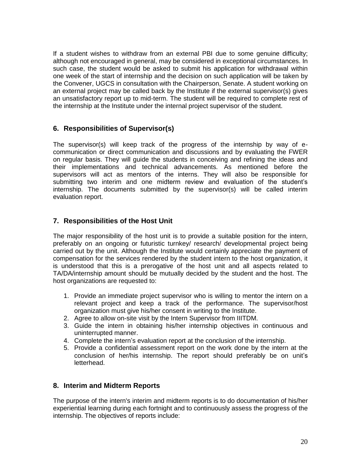If a student wishes to withdraw from an external PBI due to some genuine difficulty; although not encouraged in general, may be considered in exceptional circumstances. In such case, the student would be asked to submit his application for withdrawal within one week of the start of internship and the decision on such application will be taken by the Convener, UGCS in consultation with the Chairperson, Senate. A student working on an external project may be called back by the Institute if the external supervisor(s) gives an unsatisfactory report up to mid-term. The student will be required to complete rest of the internship at the Institute under the internal project supervisor of the student.

## **6. Responsibilities of Supervisor(s)**

The supervisor(s) will keep track of the progress of the internship by way of ecommunication or direct communication and discussions and by evaluating the FWER on regular basis. They will guide the students in conceiving and refining the ideas and their implementations and technical advancements. As mentioned before the supervisors will act as mentors of the interns. They will also be responsible for submitting two interim and one midterm review and evaluation of the student's internship. The documents submitted by the supervisor(s) will be called interim evaluation report.

## **7. Responsibilities of the Host Unit**

The major responsibility of the host unit is to provide a suitable position for the intern, preferably on an ongoing or futuristic turnkey/ research/ developmental project being carried out by the unit. Although the Institute would certainly appreciate the payment of compensation for the services rendered by the student intern to the host organization, it is understood that this is a prerogative of the host unit and all aspects related to TA/DA/internship amount should be mutually decided by the student and the host. The host organizations are requested to:

- 1. Provide an immediate project supervisor who is willing to mentor the intern on a relevant project and keep a track of the performance. The supervisor/host organization must give his/her consent in writing to the Institute.
- 2. Agree to allow on-site visit by the Intern Supervisor from IIITDM.
- 3. Guide the intern in obtaining his/her internship objectives in continuous and uninterrupted manner.
- 4. Complete the intern"s evaluation report at the conclusion of the internship.
- 5. Provide a confidential assessment report on the work done by the intern at the conclusion of her/his internship. The report should preferably be on unit's letterhead.

#### **8. Interim and Midterm Reports**

The purpose of the intern's interim and midterm reports is to do documentation of his/her experiential learning during each fortnight and to continuously assess the progress of the internship. The objectives of reports include: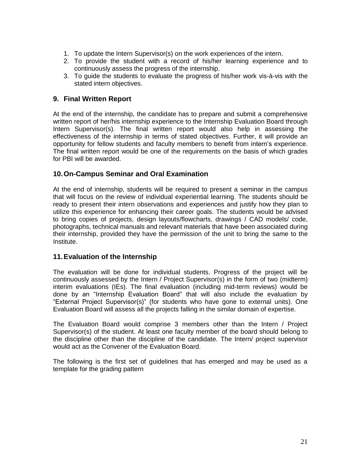- 1. To update the Intern Supervisor(s) on the work experiences of the intern.
- 2. To provide the student with a record of his/her learning experience and to continuously assess the progress of the internship.
- 3. To guide the students to evaluate the progress of his/her work vis-à-vis with the stated intern objectives.

### **9. Final Written Report**

At the end of the internship, the candidate has to prepare and submit a comprehensive written report of her/his internship experience to the Internship Evaluation Board through Intern Supervisor(s). The final written report would also help in assessing the effectiveness of the internship in terms of stated objectives. Further, it will provide an opportunity for fellow students and faculty members to benefit from intern"s experience. The final written report would be one of the requirements on the basis of which grades for PBI will be awarded.

## **10.On-Campus Seminar and Oral Examination**

At the end of internship, students will be required to present a seminar in the campus that will focus on the review of individual experiential learning. The students should be ready to present their intern observations and experiences and justify how they plan to utilize this experience for enhancing their career goals. The students would be advised to bring copies of projects, design layouts/flowcharts, drawings / CAD models/ code, photographs, technical manuals and relevant materials that have been associated during their internship, provided they have the permission of the unit to bring the same to the Institute.

#### **11.Evaluation of the Internship**

The evaluation will be done for individual students. Progress of the project will be continuously assessed by the Intern / Project Supervisor(s) in the form of two (midterm) interim evaluations (IEs). The final evaluation (including mid-term reviews) would be done by an "Internship Evaluation Board" that will also include the evaluation by "External Project Supervisor(s)" (for students who have gone to external units). One Evaluation Board will assess all the projects falling in the similar domain of expertise.

The Evaluation Board would comprise 3 members other than the Intern / Project Supervisor(s) of the student. At least one faculty member of the board should belong to the discipline other than the discipline of the candidate. The Intern/ project supervisor would act as the Convener of the Evaluation Board.

The following is the first set of guidelines that has emerged and may be used as a template for the grading pattern